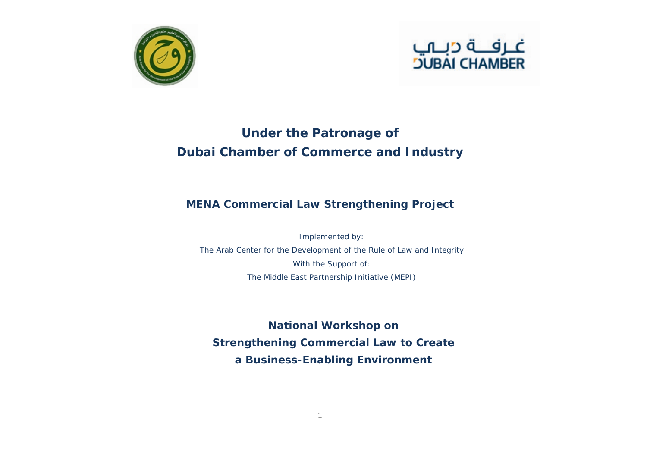



## **Under the Patronage of Dubai Chamber of Commerce and Industry**

## **MENA Commercial Law Strengthening Project**

Implemented by: The Arab Center for the Development of the Rule of Law and Integrity With the Support of: The Middle East Partnership Initiative (MEPI)

**National Workshop on Strengthening Commercial Law to Create a Business-Enabling Environment**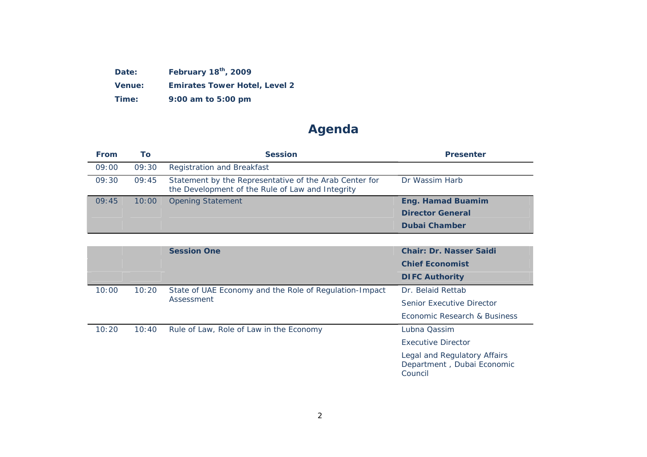**Date: February 18th, 2009** 

**Venue: Emirates Tower Hotel, Level 2** 

**Time: 9:00 am to 5:00 pm** 

## **Agenda**

| <b>From</b> | Τo    | <b>Session</b>                                                                                             | <b>Presenter</b>         |
|-------------|-------|------------------------------------------------------------------------------------------------------------|--------------------------|
| 09:00       | 09:30 | <b>Registration and Breakfast</b>                                                                          |                          |
| 09:30       | 09:45 | Statement by the Representative of the Arab Center for<br>the Development of the Rule of Law and Integrity | Dr Wassim Harb           |
| 09:45       | 10:00 | <b>Opening Statement</b>                                                                                   | <b>Eng. Hamad Buamim</b> |
|             |       |                                                                                                            | <b>Director General</b>  |
|             |       |                                                                                                            | <b>Dubai Chamber</b>     |

|       |       | <b>Session One</b>                                                   | <b>Chair: Dr. Nasser Saidi</b>                                        |
|-------|-------|----------------------------------------------------------------------|-----------------------------------------------------------------------|
|       |       |                                                                      | <b>Chief Economist</b>                                                |
|       |       |                                                                      | <b>DIFC Authority</b>                                                 |
| 10:00 | 10:20 | State of UAE Economy and the Role of Regulation-Impact<br>Assessment | Dr. Belaid Rettab                                                     |
|       |       |                                                                      | Senior Executive Director                                             |
|       |       |                                                                      | Economic Research & Business                                          |
| 10:20 | 10:40 | Rule of Law, Role of Law in the Economy                              | Lubna Qassim                                                          |
|       |       |                                                                      | <b>Executive Director</b>                                             |
|       |       |                                                                      | Legal and Regulatory Affairs<br>Department, Dubai Economic<br>Council |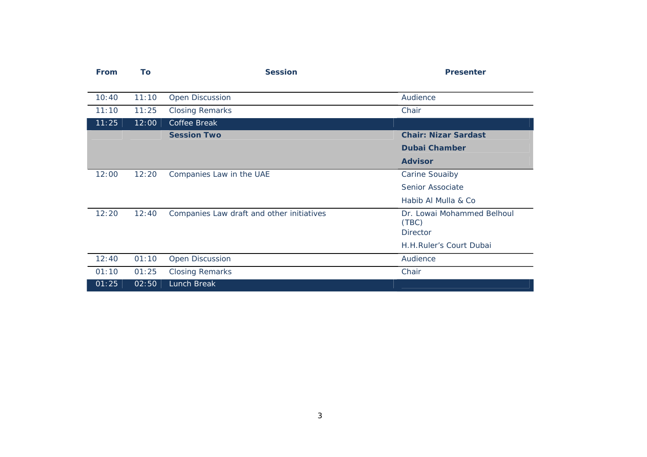| <b>From</b> | To    | <b>Session</b>                            | <b>Presenter</b>            |
|-------------|-------|-------------------------------------------|-----------------------------|
|             |       |                                           |                             |
| 10:40       | 11:10 | <b>Open Discussion</b>                    | Audience                    |
| 11:10       | 11:25 | <b>Closing Remarks</b>                    | Chair                       |
| 11:25       | 12:00 | Coffee Break                              |                             |
|             |       | <b>Session Two</b>                        | <b>Chair: Nizar Sardast</b> |
|             |       |                                           | <b>Dubai Chamber</b>        |
|             |       |                                           | <b>Advisor</b>              |
| 12:00       | 12:20 | Companies Law in the UAE                  | <b>Carine Souaiby</b>       |
|             |       |                                           | Senior Associate            |
|             |       |                                           | Habib Al Mulla & Co         |
| 12:20       | 12:40 | Companies Law draft and other initiatives | Dr. Lowai Mohammed Belhoul  |
|             |       |                                           | (TBC)<br><b>Director</b>    |
|             |       |                                           | H.H.Ruler's Court Dubai     |
|             |       |                                           |                             |
| 12:40       | 01:10 | Open Discussion                           | Audience                    |
| 01:10       | 01:25 | <b>Closing Remarks</b>                    | Chair                       |
| 01:25       | 02:50 | Lunch Break                               |                             |